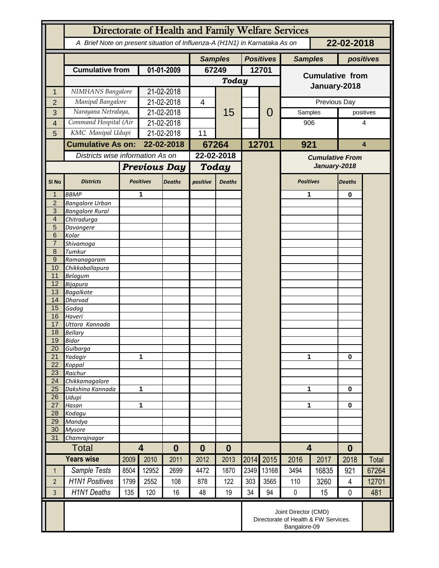|                     | Directorate of Health and Family Welfare Services                                        |                   |                                     |                |                |               |                  |                |                         |           |                |           |
|---------------------|------------------------------------------------------------------------------------------|-------------------|-------------------------------------|----------------|----------------|---------------|------------------|----------------|-------------------------|-----------|----------------|-----------|
|                     | A Brief Note on present situation of Influenza-A (H1N1) in Karnataka As on<br>22-02-2018 |                   |                                     |                |                |               |                  |                |                         |           |                |           |
|                     |                                                                                          |                   |                                     | <b>Samples</b> |                |               | <b>Positives</b> | <b>Samples</b> |                         | positives |                |           |
|                     | <b>Cumulative from</b>                                                                   |                   | 01-01-2009                          |                | 67249          |               | 12701            |                | <b>Cumulative from</b>  |           |                |           |
|                     |                                                                                          |                   |                                     |                | <b>Today</b>   |               |                  |                |                         |           |                |           |
| 1                   | NIMHANS Bangalore                                                                        |                   | 21-02-2018                          |                |                |               |                  |                | January-2018            |           |                |           |
| $\overline{2}$      | Manipal Bangalore                                                                        |                   | 21-02-2018                          |                | $\overline{4}$ |               |                  | 0              | Previous Day            |           |                |           |
| 3                   | Narayana Netralaya,                                                                      |                   | 21-02-2018                          |                |                | 15            |                  |                | Samples                 |           |                | positives |
| 4                   | Command Hospital (Air                                                                    |                   | 21-02-2018                          |                |                |               |                  |                | 906                     |           | 4              |           |
| 5                   |                                                                                          | KMC Manipal Udupi |                                     | 21-02-2018     |                |               |                  |                |                         |           |                |           |
|                     | <b>Cumulative As on:</b>                                                                 |                   | 22-02-2018                          |                | 67264          |               |                  | 12701          | 921                     |           | 4              |           |
|                     | Districts wise information As on                                                         |                   |                                     |                | 22-02-2018     |               |                  |                | <b>Cumulative From</b>  |           |                |           |
|                     |                                                                                          |                   | <b>Previous Day</b>                 |                | Today          |               |                  |                | January-2018            |           |                |           |
|                     |                                                                                          |                   |                                     |                |                |               |                  |                |                         |           |                |           |
| SI <sub>No</sub>    | <b>Districts</b>                                                                         |                   | <b>Positives</b>                    | <b>Deaths</b>  | positive       | <b>Deaths</b> |                  |                | <b>Positives</b>        |           | <b>Deaths</b>  |           |
| 1                   | <b>BBMP</b>                                                                              |                   | 1                                   |                |                |               |                  |                | 1                       |           | 0              |           |
| $\overline{2}$<br>3 | <b>Bangalore Urban</b><br><b>Bangalore Rural</b>                                         |                   |                                     |                |                |               |                  |                |                         |           |                |           |
| $\overline{4}$      | Chitradurga                                                                              |                   |                                     |                |                |               |                  |                |                         |           |                |           |
| 5                   | Davangere                                                                                |                   |                                     |                |                |               |                  |                |                         |           |                |           |
| 6                   | Kolar                                                                                    |                   |                                     |                |                |               |                  |                |                         |           |                |           |
| $\overline{7}$      | Shivamoga                                                                                |                   |                                     |                |                |               |                  |                |                         |           |                |           |
| 8                   | Tumkur                                                                                   |                   |                                     |                |                |               |                  |                |                         |           |                |           |
| $9\,$<br>10         | Ramanagaram<br>Chikkaballapura                                                           |                   |                                     |                |                |               |                  |                |                         |           |                |           |
| 11                  | <b>Belagum</b>                                                                           |                   |                                     |                |                |               |                  |                |                         |           |                |           |
| 12                  | Bijapura                                                                                 |                   |                                     |                |                |               |                  |                |                         |           |                |           |
| 13                  | <b>Bagalkote</b>                                                                         |                   |                                     |                |                |               |                  |                |                         |           |                |           |
| 14                  | Dharvad                                                                                  |                   |                                     |                |                |               |                  |                |                         |           |                |           |
| 15<br>16            | Gadag<br>Haveri                                                                          |                   |                                     |                |                |               |                  |                |                         |           |                |           |
| 17                  | Uttara Kannada                                                                           |                   |                                     |                |                |               |                  |                |                         |           |                |           |
| 18                  | <b>Bellary</b>                                                                           |                   |                                     |                |                |               |                  |                |                         |           |                |           |
| 19                  | Bidar                                                                                    |                   |                                     |                |                |               |                  |                |                         |           |                |           |
| 20                  | Gulbarga                                                                                 |                   |                                     |                |                |               |                  |                |                         |           |                |           |
| 21<br>22            | Yadagir<br>Koppal                                                                        |                   | 1                                   |                |                |               |                  |                | 1                       |           | $\bf{0}$       |           |
| 23                  | Raichur                                                                                  |                   |                                     |                |                |               |                  |                |                         |           |                |           |
| 24                  | Chikkamagalore                                                                           |                   |                                     |                |                |               |                  |                |                         |           |                |           |
| 25                  | Dakshina Kannada                                                                         | 1                 |                                     |                |                |               |                  |                | 1                       |           | 0              |           |
| 26                  | Udupi                                                                                    |                   |                                     |                |                |               |                  |                |                         |           | 0              |           |
| 27<br>28            | Hasan<br>Kodagu                                                                          | 1                 |                                     |                |                |               |                  |                |                         | 1         |                |           |
| 29                  | Mandya                                                                                   |                   |                                     |                |                |               |                  |                |                         |           |                |           |
| 30                  | <b>Mysore</b>                                                                            |                   |                                     |                |                |               |                  |                |                         |           |                |           |
| 31                  | Chamrajnagar                                                                             |                   |                                     |                |                |               |                  |                |                         |           |                |           |
|                     | <b>Total</b>                                                                             |                   | $\overline{\mathbf{4}}$<br>$\bf{0}$ |                | 0              | $\bf{0}$      |                  |                | $\overline{\mathbf{4}}$ |           | $\bf{0}$       |           |
|                     | <b>Years wise</b>                                                                        | 2009              | 2010                                | 2011           | 2012           | 2013          | 2014             | 2015           | 2016                    | 2017      | 2018           | Total     |
| $\mathbf{1}$        | Sample Tests                                                                             | 8504              | 12952                               | 2699           | 4472           | 1870          | 2349             | 13168          | 3494                    | 16835     | 921            | 67264     |
| $\overline{2}$      | <b>H1N1 Positives</b>                                                                    | 1799              | 2552                                | 108            | 878            | 122           | 303              | 3565           | 110                     | 3260      | $\overline{4}$ | 12701     |
| $\overline{3}$      | <b>H1N1 Deaths</b>                                                                       | 135               | 120                                 | 16             | 48             | 19            | 34               | 94             | $\pmb{0}$               | 15        | 0              | 481       |
|                     | Joint Director (CMD)<br>Directorate of Health & FW Services.<br>Bangalore-09             |                   |                                     |                |                |               |                  |                |                         |           |                |           |